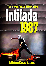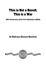# This is Not a Revolt, This is a War

*30th Anniversary of the First Palestinian Intifada* 

## Dr Makram Khoury-Machool

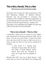# **This is Not a Revolt, This is a War**

*30th Anniversary of the First Palestinian Intifada* 

December 2017 marks the 30th anniversary of the first Palestinian Intifada. Dr Makram Khoury-Machool was the journalist to announce the outbreak of the Intifada in *Haaretz's* supplement in Tel Aviv (Ha'ir), back in December 1987. He was shot in the face and his report became a media event. This report, was translated into English 30 years ago (1987) by the late Prof. Israel Shahak.

## **This Is not a Revolt – This Is a War**

A long film, whose end we cannot yet see, began with a long wait at the Gaza taxi stop in Jaffa. For an hour, not even one taxi arrived. A Gaza taxi driver who was stuck with his taxi in Jaffa was not in a hurry to take me. Even on the way he continued to hesitate:

> "I don't know if I should have returned to Gaza today. We all know one thing: if Israel Radio's Arabic service says that the situation is calm, it's a sign that the opposite is true."

Shortly after 9:30 I got out at Bayt Hanun. I had more than an hour to wait before my meeting with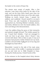the leader in the centre of Gaza City.

The streets were empty of people. After a few minutes I saw three army jeeps by the side of the road, and not far from them stood more than ten soldiers who opened fire down one of the side roads. Walking on south, toward Gaza, I passed the soldiers, and suddenly I found myself in no-man's land. From one side hundreds of demonstrators approached me, throwing Molotov cocktails, stones, and sticks. Behind me were the Israeli soldiers, who were now firing at the demonstrators.

I saw the soldiers firing the guns at their stomachs and pointed straight forward. The bullets passed by me. I heard their whistles. I had not managed to work out how to get away, when I found I was covered with blood. I felt no blow or pain. It was as if someone had poured a bottle of blood over my head. I pulled a red and white *kuffiyyah* out of my bag and bandaged my head with it.

Meanwhile I moved to the side of the road, away from the centre of the conflict. A passing taxi picked me up and took me to *Shifa* Hospital in Gaza. During the whole journey, I heard bursts of fire.

At the entrance to the hospital about thirty doctors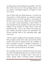in white gowns stood waiting for casualties. I was the first. They took me into the operating theatre, and ten doctors, including surgeons, all began to treat me at once.

One of them took my blood pressure, a second my temperature; a third checked my stomach; another connected me to an ECG machine. I was injured in the face, next to my nose. While they were stitching me up under a local anaesthetic, a lad of about 17 was brought into the hospital. He had been shot by soldiers at the incident in *Bayt Hanun*. From the operating table, I saw in the mirror the barrel of a gun waving nervously across the windowsill. The second casualty died on the operating table, right next to me.

I left the theatre straight into the hospital courtyard. Seven soldiers stood at the side and arrested all the youths who came to inquire about the condition of their wounded comrade. I decided nevertheless to try to reach the meeting place. A man was waiting for me there, and he took me to the leader.

The condition was that I should not know his name nor other identifying details such as where he lived, where and what he studied. Later I saw him in action, giving orders, receiving reports, directing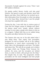thousands of people against the army. Twice I saw IDF soldiers withdraw.

He speaks perfect literary Arabic and also good Hebrew. His speech is open and decisive, laced with figures and data. Every half hour he received up-todate information from his people on what was going on in the Gaza Strip. Around him I saw five people who kept him supplied with news.

During the day, I was with him in various parts of Gaza and the refugee camps of *Jabalya* and *Shati'*. He always stood erect, steady, almost without moving. In every place, people were drawn to him as to a magnet. I talked with him as we walked along the paths and alleys between the houses.

The Gazans who saw me at his side asked what I was doing there. They expect that journalists, foreigners as well as Israelis, will sit in the military headquarters or travel about surrounded by 20 jeeps, take a few photographs, and leave. The leader said about this, "We told all our people not to believe the signs which say 'Foreign Press' because the settlers, the army, and the occupiers are behind them, in order to hitch a lift and get into the Strip." But despite this, he said, "The progressive Jewish journalists are the most intelligent and best people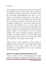### in Israel."

The bandage on my head broke some of the barriers of suspicion. As far as I was able to tell, he spoke to me candidly and with a great deal of honesty. "They are not really demonstrations and this is not a revolt," is the leader's contribution to the debate in Israel. "This is a war that continues 24 hours a day. We are working in rotation. The order was that the youngsters should go in the front, facing the fire, and they don't hesitate to do so. They block the army's central route. It is the first time in history that this has happened. I go through the whole Strip and instruct them in the camps. It's not just school children. By now it includes everyone aged from nought to a hundred. Here is a 55-year-old woman who took part in the events and was hit with a stick by the soldiers. The women are not afraid.

Ninety percent of the people in Gaza belong to political groups. They don't need instructions from anybody. In any case, people who live under occupation and oppression do not need someone else to incite them."

## **How do you organize the demonstrations now?**

"Once, in order to start a demonstration, we would send the children to organize a disturbance. Now,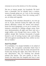everyone is out on the streets at 3 in the morning.

Not ten or twenty people, but hundreds. We don't have a timetable, but we already have a custom, waves of people going out, at 3 am, in the morning, at midday, early evening. From the evening until 3 am, we sleep and organize.

Sometimes, if the situation demands it, we even go out at 10 pm, because during the night, the army doesn't effectively control the streets and doesn't know the local topography, so we are in control. For instance, yesterday in *Jabalya* refugee camp, there were demonstrations all night and there was not a single soldier, even though there was a curfew. The soldiers simply fled, because thousands of people formed a sort of moving human wall, and nothing will work against something like that, neither an iron fist nor bullets."

### **Aren't You Afraid?**

"It is forbidden. It is simply forbidden to be afraid of anything. The occupation authorities think that if someone dies and they take the body and permit the burial only during the night, then there will not be any disturbance. But our thinking has already passed this barrier. The new system is that we snatch the body from the hospital and bury it and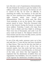turn this into a sort of spontaneous demonstration. We also forbade the doctors to give the bodies to the military authorities, and anyway the doctors are not in control of this, for we have no difficulty in snatching the bodies. For instance, in the past few days we have snatched four bodies and organized night funerals which have turned into demonstrations. Then the whole area, like *Khan Yunis* yesterday, is out on the streets. Not a single person stayed at home. Thirty-five thousand took part in that funeral. During the funeral, we injured seven soldiers. Yesterday, I made a few trips, from *Khan Yunis* to Rafah and from *Rafah* to *al-Burayj*. There were tens of thousands, and until 3 am the army could not break in. The distance between the Gaza sentries and the army was fifty meters, and the army simply didn't dare to come in."

In one of the side roads, someone came up to him and said that a 17-year-old boy had been murdered in *Bayt Hanun*. That was the lad who had died on the operating table next to me. All the time, he received reports, how this youth had been struck, whether with a stick or something else, on what part of the body, and where this had happened. He explained that the distribution of leaflets from any organization was forbidden, but if he wanted to he could organize the distribution of leaflets every day,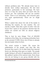without problems [sic]. "We already know how to identify their civilian information. We feel their presence, particularly in the mornings. We have seen to it that the army does not know who the inciters are. The authorities will not see another inciter. There is an instruction, and everyone goes out, quite spontaneously. There are no single inciters."

When I asked him about the role of the leader in directing the masses, he was modest. "No, not exactly a leader. More like a giver of order." But the hours that I spent in his presence showed that his orders are carried out with an almost religious obedience.

This is how he sees things. "Out of 650,000 residents of the Strip, the occupying authorities have so far arrested 47,000. Every one of them is already his own leader where he lives.

The arrest creates a leader. We cause the politicization of the people, and they like this because they need it. Let no idiot think that external forces are directing what goes on inside. The people inside belong to all sorts of organizations, which are like political parties of the nascent state. Even those who do not belong to any group identify with the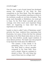overall struggle."

Over the years, a sort of quiet hatred has developed among the residents of the Strip for their compatriots in the West Bank. They feel neglected, even forgotten. The journalists reporting on events in the territories usually set out from Jerusalem. They easily reach Ramallah or Bethlehem, but rarely get to Gaza. So the West Bank naturally gets press coverage, even when much more important things which are happening in Gaza don't find any expression in the media.

Loyalty to what is called "unity of Palestinian ranks" prevents the Gaza residents from expressing their frustration, but many of them feel that the national leadership in the West Bank looks down on them in the way town-dwellers usually regard residents of some distant province. The leader was only prepared to say these few words about the differences:

> "The Gazans, if they decide to do something, carry it out to the end. The West Bank is almost paradise compared to the Gaza Strip. Even such a simple thing as a passport is denied to them. The only thing that most of them have is a refugee card."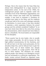Perhaps this is the reason that the Gaza Strip has always been distinguished by a large measure of independent action. At the end of the 1960s, the underground groups used to organize under the umbrella of one of the Palestinian organizations, but even when contact was made with the leadership outside, it was hard to maintain it. Decisions on activities were taken in the Strip, and the residents usually got hold of the arms and sabotage materials by themselves. In recent years, it has been decided to maintain a strict separation between the armed groups and the activists considered "political." In no case have shots been fired at the army from among the demonstrators, which should have been likely to lead to a bloodbath. The local leaders are responsible for this discipline.

 "Every quarter has its own leader, who is usually some major personality. He will be known for this high political consciousness, for his charisma, and he will not have to do that much persuasion, for the situation helps him, and he will just have to give the signal. Every one of these leaders has already become a symbol. In a large quarter, there will be two or three leaders. The detainees are usually political people, who belong to an ideological current and not necessarily to a particular organization. The leader creates around himself an organized mass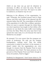which at any time can go and do whatever is necessary. In effect, we want the army. We don't demonstrate when it isn't here. We want it in order to confront it, in whatever way we can."

Referring to the efficiency of the organization, he said: "Yesterday, five hundred women went to *Bayt Hanun*, and they only knew of the planned trip five minutes before they left. The conscription of all levels of the population is in effect like a military operation. When we want to operate through the whole Strip, our short experience has taught us that within a few minutes we can block the main traffic route leading out from the Strip. When the army says that it has opened the main road, it is a lie because the road is blocked by our people."

He stressed: "It is not correct that the mosques are centre of incitement. We only use the mosque loudspeakers, nothing more. Now the whole community is united in one front. At the moment, it doesn't matter who the organizations are, even though it is known that the Popular Front is more revolutionary than *Fateh*. The basic presence on the ground is of the Popular Front and *Fateh*, though in terms of numbers, *Fateh* is bigger."

Suddenly he disappeared. I don't know where to. He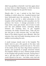didn't say goodbye or farewell. I met him again about an hour later in *Shifa* Hospital, in which his forces had been besieged for the past five hours.

Shortly after 11 am, I arrived at the Red Cross building, in which about two hundred lawyers had been barricaded since the morning. At 11:45, they decided to go out for a silent procession to the hospital, which had filled up with casualties over the previous two hours. A strange procession in the Gaza street, many grey heads, tens of men in suits and ties and polished shoes, marching silently between the smoking tires. In the hospital courtyard, the leader received them. "Take off your ties and join in with everyone else," he told them. Some of the elderly lawyers were offended. After five minutes, they were all busily throwing stones at the soldiers surrounding the area.

A small mosque stands next to the hospital. The leader went in, put a few guards at the door, took over the loudspeakers, and let his men in. The news of the death of the boy from *Bayt Hanun* started to spread, and hundreds of people streamed toward the hospital. Within an hour, thirteen people arrived at the hospital with gunshot wounds. Among them I saw a girl who had a bullet in her bottom, and a youth injured in his arm – two holes, entry and exit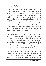wounds of the bullet.

All of the hospital buildings were already full, thousands of people. Many of them were seeking shelter from the shooting in the streets, assuming that the army would not enter the hospital. It was hard to pass along the corridors. Shooting was heard again. Close, very close. The leader started to send his people out. The youths went out first, the adults next, and all the women behind them. The leader instructed them to pass stones from the rear to the front. A chain was formed, and a rain of stones was thrown out. After each barrage, the leader ordered, "Everyone, inside!"

The soldiers started to fire at a youth on the second floor of the east wing. He jumped into the courtyard to escape from the shots. A few soldiers came into the hospital grounds. The youth tried to escape, but saw a soldier facing him. He stopped running, stood facing the soldier, opened his shirt, bared his chest and said "Shoot!" The soldier pointed the gun at him and, from a distance of fifteen meters, fired.

This happened in front of my eyes, less than twenty meters from me. The soldier's face is engraved in my memory. From all around shouts were heard, "Wounded! Wounded!" The shooting continued. The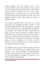leader ordered, "All the women, out, to the wounded." They went and fetched the body and put it on a stretcher. I went into the theatre. The doctors told me that the bullet had cut a main artery. Immediately it was known that the boy was dead, masked youths came and took away the body. The soldiers withdrew about 300 meters, to *'Umar al-Makhtar* Street.

The youths marched with the body in a short procession and disappeared within minutes. A few hundred people arrived with each further casualty or body. They started to make Molotov cocktails in the hospital. I saw a little boy take a bottle from the floor, pull out from his pocket a plastic flask of turpentine and a rag, fill and seal the bottle, light a match, and throw it. Flames started to rise from the tires which had rolled into the courtyard. The leader told me that, in addition to the stone and the Molotov, they had returned to an ancient method: the sling and stone, like David.

The soldiers, who in one of their assaults had come very close to the hospital, were trapped between the burning tires, and hundreds of demonstrators started to surround them. The soldiers tried to flee, but the demonstrators managed to capture one of them. All of his comrades ran.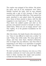The captive was stripped of his clothes. His jacket, his pack, and all of his equipment were taken. Nobody touched his body, and he was released wearing only a pair of torn trousers. If they had wanted, they could have killed him. They opened the pack, searched it, and asked where the grenades were. Some of them started to dance, with the rifle magazine in one hand and a "V" sign on the other. They threw the soldier's jacket and shirt on the ground, and pressed around to trample on them. I asked them, "What are you so happy about?" and they replied, "It is the greatest humiliation for the occupation."

After this victory, the leader found a few minutes for me. "Once it was difficult to hold even a strike," he said. "Today, they strike easily. The army opens the shops, and they close them. Rashad al-Shawwa, who no longer has any influence, says that what is happening in the Strip is an expression of people's despair. But those in despair do not struggle. They surrender.

We don't actually have firearms, but even so, if the situation continues we won't only push the soldiers back to Eretz Junction [the major road junction outside the Gaza Strip], but to Tel Aviv."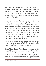My injury started to bother me. A few doctors ran after me, offering me ice compresses. One offered me antibiotic capsules. By the way, after midnight, when the hell was already behind me, I was forced to wait for four hours for treatment in Ichilov Hospital in Tel Aviv.

 A further casualty, who had been shot in the head, was brought to the hospital gate. He died a short time later. His body was snatched. The soldiers again entered the hospital courtyard. Bursts of fire were heard in the building. The echo added to the noise and confusion. People started to barricade themselves inside. There were already a few casualties, but there had been no time to treat them. The leader shouted to the women to go out and treat the wounded, despite the danger.

For each casualty, twenty people rushed to give blood. Twenty-eight casualties arrived within a short time, three of them with serious injuries.

One of them died at 7 pm. In the operating theatre, tens of doctors were working without a break, like a conveyor belt. At about 1 pm, a ten-year-old boy was shot in the hospital courtyard, in the sight of his mother. His body was wrapped in a green hospital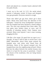sheet and placed on a wooden board, adorned with two palm fronds.

I went up to the roof. At 3:15, the aerial attack started; a helicopter circled 18 times and dropped tear gas grenades. Everyone started to cough.

Those who didn't get gas from above got it from below. Shots were heard from the direction of the helicopter. I heard the army loudspeaker announce that the hospital had been declared a closed military area. The area was attacked from three sides. The iron gates were broken down at once, and 45 minutes of shooting started. Forty Gazans were arrested. Many were injured. I saw a man running, dragging his foot.

I felt like a live target. It's good that my tape is on, I thought. At least it will be able to record how I was killed. Meanwhile, about thirty jeeps entered the hospital area, and shots were heard from all directions. Some of the injured jumped over the hospital fence into the neighbouring orchard. Others fled into the alleys between the nearby houses, into which it is hard for the army to penetrate. I heard the shouts of the mukhtars, who are being beaten with sticks.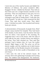I went into one of the nearby houses and dialled the Ministry of Defence, the prime minister's office. Engaged. No line. I dialled the Knesset. They told me that there was not a single Knesset member on the premises. "They are somewhere in the area, but it is impossible to get hold of them." The operator managed to get hold of Tawfiq Ziyad. "I will raise this in the Knesset," he told me. I also contacted the Red Cross. They said they would come. They didn't come. I checked my pulse. One-hundred and twenty beats per minute.

A demonstration of thousands of people from *Shati'* refugee camp reached the hospital. They had heard of the deaths. In the street, I met the doctor who had seen me when I was injured in the morning. He suggested that I rest at his house, with the help of some pills for the pain. Another doctor was sitting in his house. They both checked me. They said that perhaps I had a broken chin. At 4 pm, the curfew started. Night began to fall. The army cut off the electric supply, and the residents sat in dark homes and lit candles. In the Muslim Quarter of Jerusalem, Ariel Sharon lit the first candle of Hanukkah in his new home.

I went onto the roof of the doctor's house. All around, there were gatherings of people and burning tires. The soldiers had disappeared. The darkness,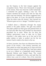say the Gazans, is the best weapon against the occupation forces. There were thousands of people in the streets. That was what the curfew looked like. I contacted the paper, seeking a way out. Two Gazans checked the terrain and told me that the main road was blocked. The doctor suggested that I slept at his place. At 9 pm, the electricity returned. "Now the stone rules the streets," they warned me. "Whoever goes out is in danger." I decided to go out.

I walked about a kilometre through the empty streets to the police station. The gate was locked. The police pulled out their guns and pointed them at me and only after they had checked my documents permitted me to enter. When the car from the military government came to take me to Eretz Junction, a few police went up to the roof of the police station in order to protect me for the ten meters I had to walk in the street to the car.

At Eretz Junction, less than ten kilometres from the centre of the events, a few drowsy reservists sat. They asked me what was going on in Gaza and how I had been injured. I told them that I had been asked to act as a referee in a basketball match between Maccabi Hebron and Hapoel Gaza. The crowd attacked me, I explained to them, and said that the referee was a son of a whore. One of the reservists